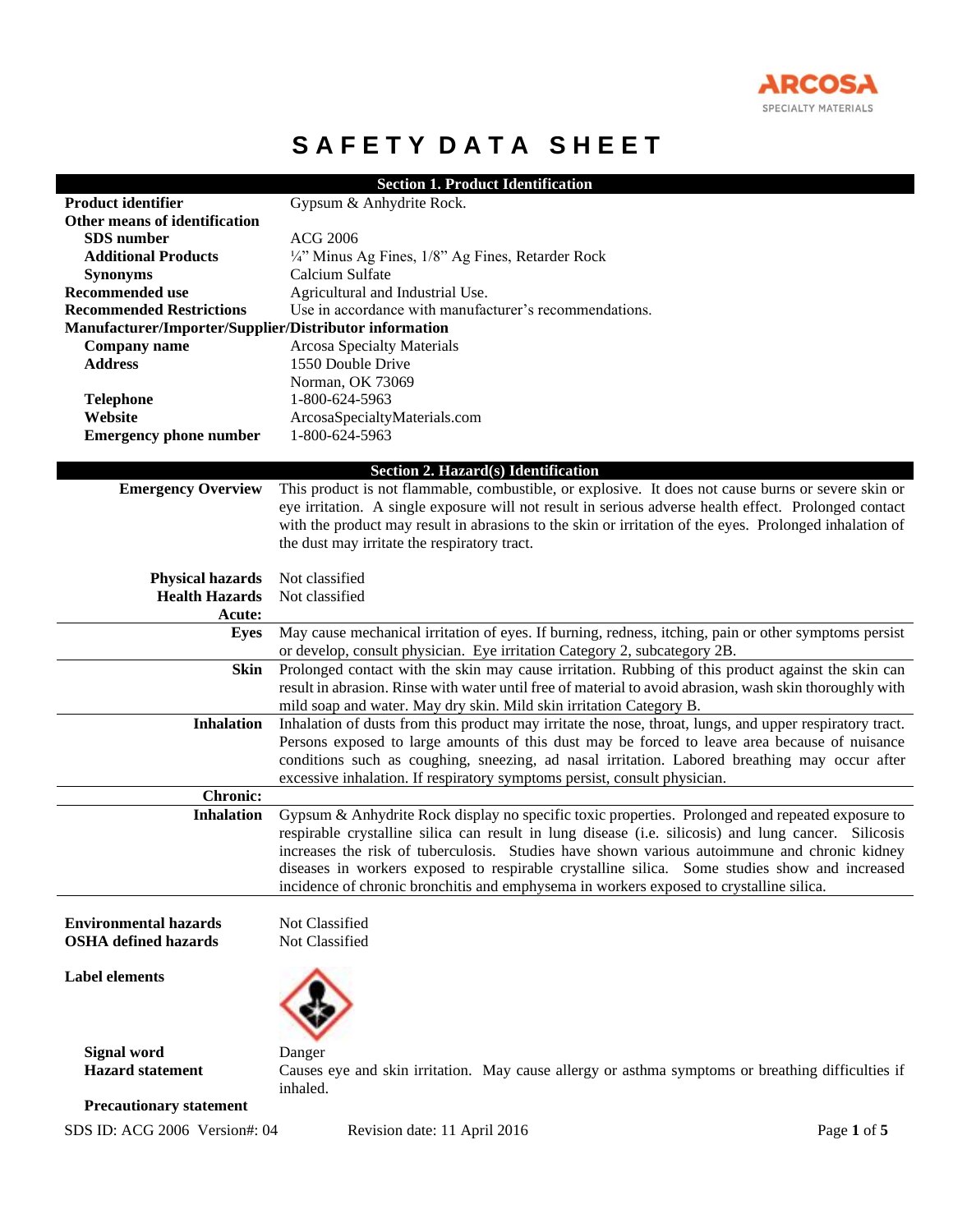

# **SAFETY DATA SHEET**

|                                                        | <b>Section 1. Product Identification</b>                                                                      |
|--------------------------------------------------------|---------------------------------------------------------------------------------------------------------------|
| <b>Product identifier</b>                              | Gypsum & Anhydrite Rock.                                                                                      |
| Other means of identification                          |                                                                                                               |
| <b>SDS</b> number                                      | <b>ACG 2006</b>                                                                                               |
| <b>Additional Products</b>                             | 1/4" Minus Ag Fines, 1/8" Ag Fines, Retarder Rock                                                             |
| <b>Synonyms</b>                                        | Calcium Sulfate                                                                                               |
| <b>Recommended use</b>                                 | Agricultural and Industrial Use.                                                                              |
| <b>Recommended Restrictions</b>                        | Use in accordance with manufacturer's recommendations.                                                        |
| Manufacturer/Importer/Supplier/Distributor information |                                                                                                               |
| <b>Company name</b>                                    | <b>Arcosa Specialty Materials</b>                                                                             |
| <b>Address</b>                                         | 1550 Double Drive                                                                                             |
|                                                        | Norman, OK 73069                                                                                              |
| <b>Telephone</b>                                       | 1-800-624-5963                                                                                                |
| Website                                                | ArcosaSpecialtyMaterials.com                                                                                  |
| <b>Emergency phone number</b>                          | 1-800-624-5963                                                                                                |
|                                                        | Section 2. Hazard(s) Identification                                                                           |
| <b>Emergency Overview</b>                              | This product is not flammable, combustible, or explosive. It does not cause burns or severe skin or           |
|                                                        | eye irritation. A single exposure will not result in serious adverse health effect. Prolonged contact         |
|                                                        | with the product may result in abrasions to the skin or irritation of the eyes. Prolonged inhalation of       |
|                                                        | the dust may irritate the respiratory tract.                                                                  |
|                                                        |                                                                                                               |
| <b>Physical hazards</b>                                | Not classified                                                                                                |
| <b>Health Hazards</b>                                  | Not classified                                                                                                |
| Acute:                                                 |                                                                                                               |
| <b>Eyes</b>                                            | May cause mechanical irritation of eyes. If burning, redness, itching, pain or other symptoms persist         |
|                                                        | or develop, consult physician. Eye irritation Category 2, subcategory 2B.                                     |
| <b>Skin</b>                                            | Prolonged contact with the skin may cause irritation. Rubbing of this product against the skin can            |
|                                                        | result in abrasion. Rinse with water until free of material to avoid abrasion, wash skin thoroughly with      |
|                                                        | mild soap and water. May dry skin. Mild skin irritation Category B.                                           |
| <b>Inhalation</b>                                      | Inhalation of dusts from this product may irritate the nose, throat, lungs, and upper respiratory tract.      |
|                                                        | Persons exposed to large amounts of this dust may be forced to leave area because of nuisance                 |
|                                                        | conditions such as coughing, sneezing, ad nasal irritation. Labored breathing may occur after                 |
|                                                        | excessive inhalation. If respiratory symptoms persist, consult physician.                                     |
| <b>Chronic:</b>                                        |                                                                                                               |
| <b>Inhalation</b>                                      | Gypsum & Anhydrite Rock display no specific toxic properties. Prolonged and repeated exposure to              |
|                                                        | respirable crystalline silica can result in lung disease (i.e. silicosis) and lung cancer. Silicosis          |
|                                                        | increases the risk of tuberculosis. Studies have shown various autoimmune and chronic kidney                  |
|                                                        | diseases in workers exposed to respirable crystalline silica. Some studies show and increased                 |
|                                                        | incidence of chronic bronchitis and emphysema in workers exposed to crystalline silica.                       |
|                                                        |                                                                                                               |
| <b>Environmental hazards</b>                           | Not Classified                                                                                                |
| <b>OSHA</b> defined hazards                            | Not Classified                                                                                                |
| <b>Label elements</b>                                  |                                                                                                               |
|                                                        |                                                                                                               |
|                                                        |                                                                                                               |
|                                                        |                                                                                                               |
|                                                        |                                                                                                               |
| <b>Signal word</b><br><b>Hazard</b> statement          | Danger                                                                                                        |
|                                                        | Causes eye and skin irritation. May cause allergy or asthma symptoms or breathing difficulties if<br>inhaled. |
| <b>Precautionary statement</b>                         |                                                                                                               |
|                                                        |                                                                                                               |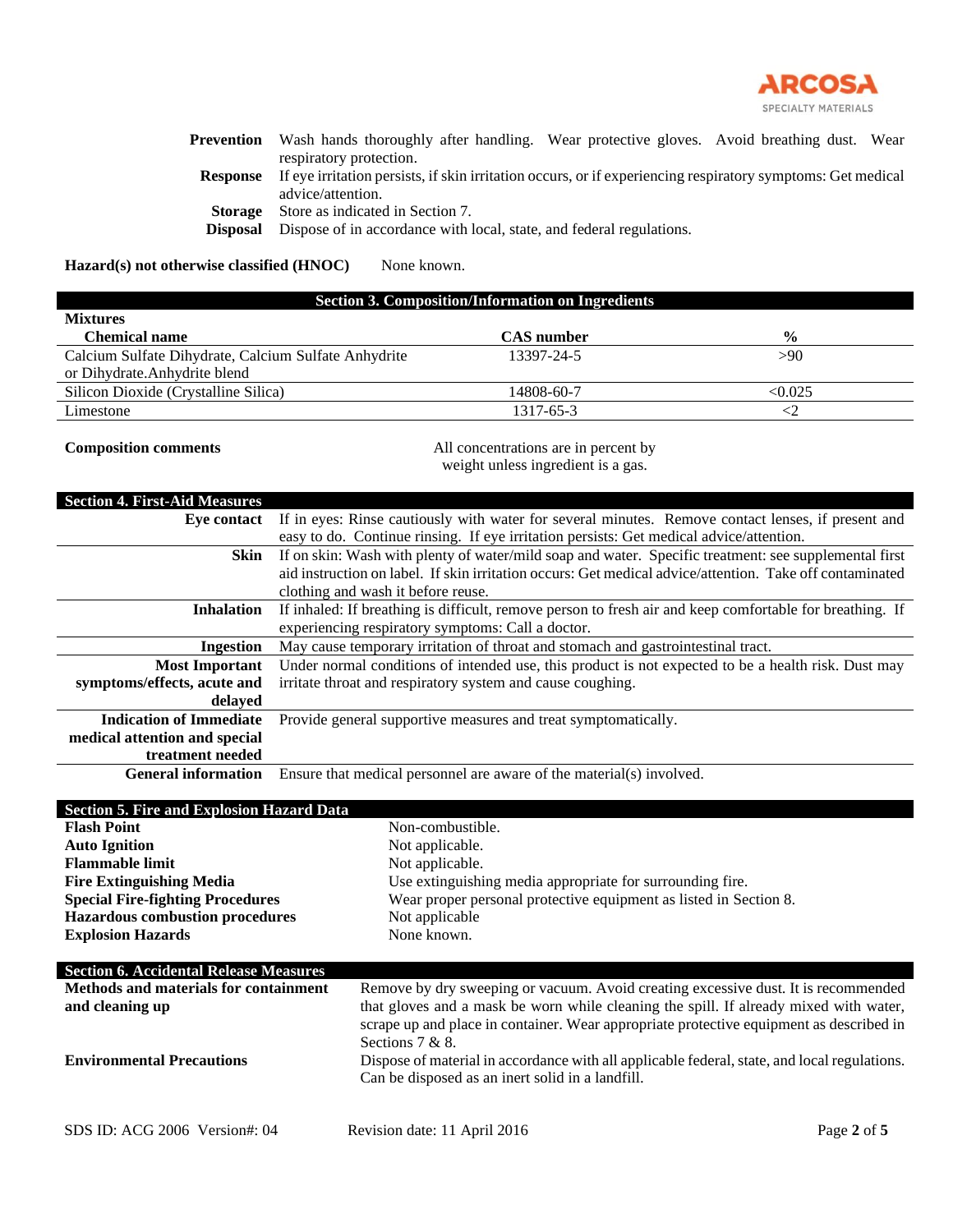

|                 | <b>Prevention</b> Wash hands thoroughly after handling. Wear protective gloves. Avoid breathing dust. Wear  |  |  |
|-----------------|-------------------------------------------------------------------------------------------------------------|--|--|
|                 | respiratory protection.                                                                                     |  |  |
| Response        | If eye irritation persists, if skin irritation occurs, or if experiencing respiratory symptoms: Get medical |  |  |
|                 | advice/attention.                                                                                           |  |  |
|                 | <b>Storage</b> Store as indicated in Section 7.                                                             |  |  |
| <b>Disposal</b> | Dispose of in accordance with local, state, and federal regulations.                                        |  |  |

Hazard(s) not otherwise classified (HNOC) None known.

| <b>Section 3. Composition/Information on Ingredients</b>                  |                   |               |  |
|---------------------------------------------------------------------------|-------------------|---------------|--|
| <b>Mixtures</b>                                                           |                   |               |  |
| <b>Chemical name</b>                                                      | <b>CAS</b> number | $\frac{0}{0}$ |  |
| Calcium Sulfate Dihydrate, Calcium Sulfate Anhydrite<br>13397-24-5<br>>90 |                   |               |  |
| or Dihydrate.Anhydrite blend                                              |                   |               |  |
| Silicon Dioxide (Crystalline Silica)                                      | 14808-60-7        | < 0.025       |  |
| Limestone                                                                 | 1317-65-3         |               |  |
|                                                                           |                   |               |  |

**Composition comments** All concentrations are in percent by weight unless ingredient is a gas.

# **Section 4. First-Aid Measures**

| Eve contact                    | If in eyes: Rinse cautiously with water for several minutes. Remove contact lenses, if present and       |
|--------------------------------|----------------------------------------------------------------------------------------------------------|
|                                | easy to do. Continue rinsing. If eye irritation persists: Get medical advice/attention.                  |
| Skin                           | If on skin: Wash with plenty of water/mild soap and water. Specific treatment: see supplemental first    |
|                                | aid instruction on label. If skin irritation occurs: Get medical advice/attention. Take off contaminated |
|                                | clothing and wash it before reuse.                                                                       |
| <b>Inhalation</b>              | If inhaled: If breathing is difficult, remove person to fresh air and keep comfortable for breathing. If |
|                                | experiencing respiratory symptoms: Call a doctor.                                                        |
| Ingestion                      | May cause temporary irritation of throat and stomach and gastrointestinal tract.                         |
| <b>Most Important</b>          | Under normal conditions of intended use, this product is not expected to be a health risk. Dust may      |
| symptoms/effects, acute and    | irritate throat and respiratory system and cause coughing.                                               |
| delaved                        |                                                                                                          |
| <b>Indication of Immediate</b> | Provide general supportive measures and treat symptomatically.                                           |
| medical attention and special  |                                                                                                          |
| treatment needed               |                                                                                                          |
| <b>General information</b>     | Ensure that medical personnel are aware of the material(s) involved.                                     |

| <b>Section 5. Fire and Explosion Hazard Data</b> |                                                                                              |             |
|--------------------------------------------------|----------------------------------------------------------------------------------------------|-------------|
| <b>Flash Point</b>                               | Non-combustible.                                                                             |             |
| <b>Auto Ignition</b>                             | Not applicable.                                                                              |             |
| <b>Flammable limit</b>                           | Not applicable.                                                                              |             |
|                                                  |                                                                                              |             |
| <b>Fire Extinguishing Media</b>                  | Use extinguishing media appropriate for surrounding fire.                                    |             |
| <b>Special Fire-fighting Procedures</b>          | Wear proper personal protective equipment as listed in Section 8.                            |             |
| <b>Hazardous combustion procedures</b>           | Not applicable                                                                               |             |
| <b>Explosion Hazards</b>                         | None known.                                                                                  |             |
|                                                  |                                                                                              |             |
| <b>Section 6. Accidental Release Measures</b>    |                                                                                              |             |
| <b>Methods and materials for containment</b>     | Remove by dry sweeping or vacuum. Avoid creating excessive dust. It is recommended           |             |
| and cleaning up                                  | that gloves and a mask be worn while cleaning the spill. If already mixed with water,        |             |
|                                                  | scrape up and place in container. Wear appropriate protective equipment as described in      |             |
|                                                  |                                                                                              |             |
|                                                  | Sections $7 & 8$ .                                                                           |             |
| <b>Environmental Precautions</b>                 | Dispose of material in accordance with all applicable federal, state, and local regulations. |             |
|                                                  | Can be disposed as an inert solid in a landfill.                                             |             |
|                                                  |                                                                                              |             |
| SDS ID: ACG 2006 Version#: 04                    | Revision date: 11 April 2016                                                                 | Page 2 of 5 |
|                                                  |                                                                                              |             |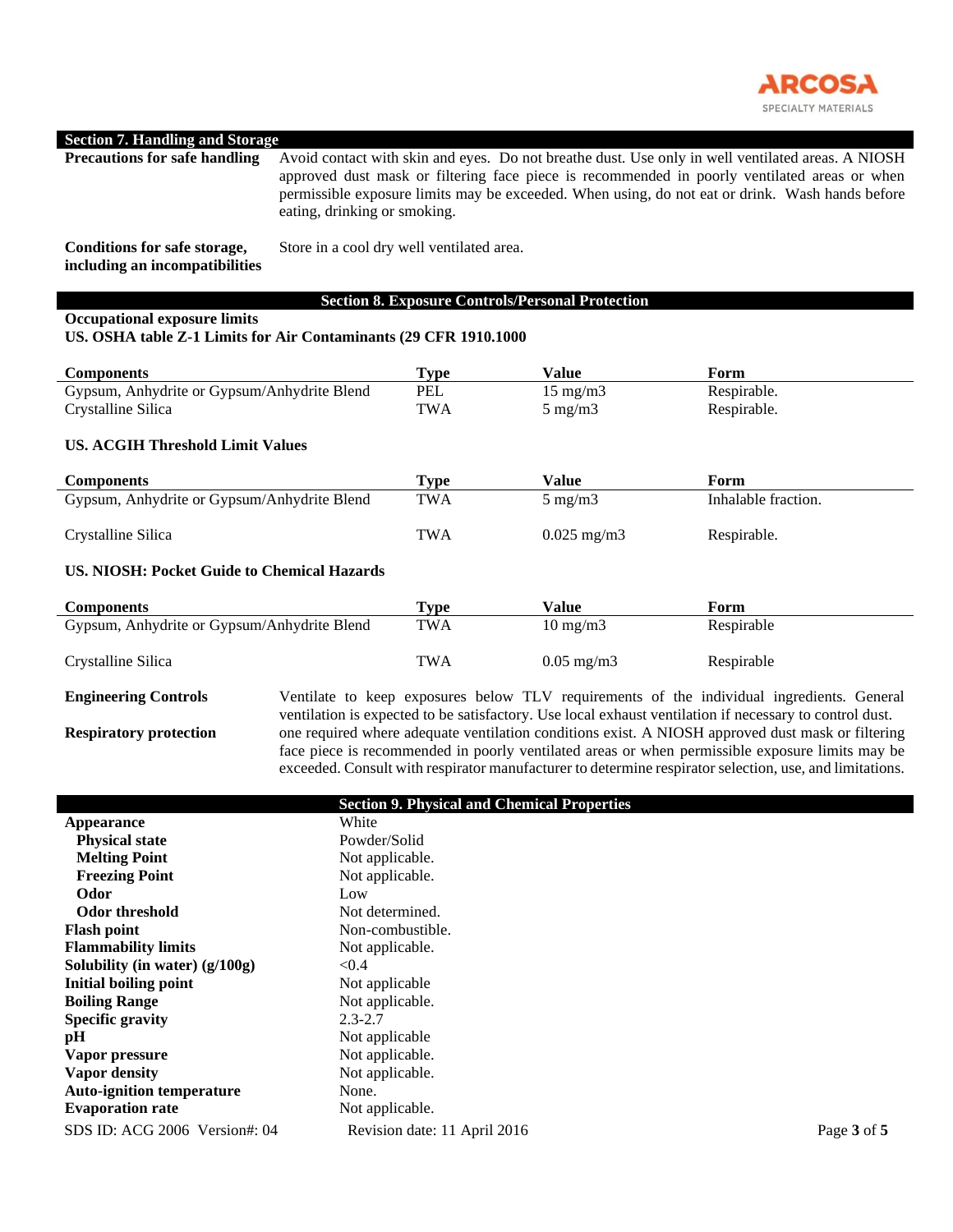

#### **Section 7. Handling and Storage**

| <b>Precautions for safe handling</b>                           | Avoid contact with skin and eyes. Do not breathe dust. Use only in well ventilated areas. A NIOSH<br>approved dust mask or filtering face piece is recommended in poorly ventilated areas or when<br>permissible exposure limits may be exceeded. When using, do not eat or drink. Wash hands before<br>eating, drinking or smoking. |
|----------------------------------------------------------------|--------------------------------------------------------------------------------------------------------------------------------------------------------------------------------------------------------------------------------------------------------------------------------------------------------------------------------------|
| Conditions for safe storage,<br>including an incompatibilities | Store in a cool dry well ventilated area.                                                                                                                                                                                                                                                                                            |

# **Section 8. Exposure Controls/Personal Protection**

#### **Occupational exposure limits**

#### **US. OSHA table Z-1 Limits for Air Contaminants (29 CFR 1910.1000**

| <b>Components</b>                                                        | Tvpe | Value                                 | Form                       |
|--------------------------------------------------------------------------|------|---------------------------------------|----------------------------|
| PEL<br>Gypsum, Anhydrite or Gypsum/Anhydrite Blend<br>Crystalline Silica | TWA  | $15 \text{ mg/m}$<br>$5 \text{ mg/m}$ | Respirable.<br>Respirable. |

### **US. ACGIH Threshold Limit Values**

| <b>Components</b>                           | Type       | Value                | Form                |
|---------------------------------------------|------------|----------------------|---------------------|
| Gypsum, Anhydrite or Gypsum/Anhydrite Blend | TWA        | $5 \text{ mg/m}$     | Inhalable fraction. |
| Crystalline Silica                          | <b>TWA</b> | $0.025 \text{ mg/m}$ | Respirable.         |

#### **US. NIOSH: Pocket Guide to Chemical Hazards**

| Type       | Value             | Form       |
|------------|-------------------|------------|
| <b>TWA</b> | $10 \text{ mg/m}$ | Respirable |
| <b>TWA</b> | $0.05$ mg/m $3$   | Respirable |
|            |                   |            |

**Engineering Controls** Ventilate to keep exposures below TLV requirements of the individual ingredients. General ventilation is expected to be satisfactory. Use local exhaust ventilation if necessary to control dust. **Respiratory protection** one required where adequate ventilation conditions exist. A NIOSH approved dust mask or filtering face piece is recommended in poorly ventilated areas or when permissible exposure limits may be exceeded. Consult with respirator manufacturer to determine respirator selection, use, and limitations.

|                                  | <b>Section 9. Physical and Chemical Properties</b> |             |
|----------------------------------|----------------------------------------------------|-------------|
|                                  |                                                    |             |
| <b>Appearance</b>                | White                                              |             |
| <b>Physical state</b>            | Powder/Solid                                       |             |
| <b>Melting Point</b>             | Not applicable.                                    |             |
| <b>Freezing Point</b>            | Not applicable.                                    |             |
| Odor                             | Low                                                |             |
| <b>Odor threshold</b>            | Not determined.                                    |             |
| <b>Flash point</b>               | Non-combustible.                                   |             |
| <b>Flammability limits</b>       | Not applicable.                                    |             |
| Solubility (in water) $(g/100g)$ | < 0.4                                              |             |
| Initial boiling point            | Not applicable                                     |             |
| <b>Boiling Range</b>             | Not applicable.                                    |             |
| <b>Specific gravity</b>          | $2.3 - 2.7$                                        |             |
| pH                               | Not applicable                                     |             |
| Vapor pressure                   | Not applicable.                                    |             |
| <b>Vapor density</b>             | Not applicable.                                    |             |
| <b>Auto-ignition temperature</b> | None.                                              |             |
| <b>Evaporation rate</b>          | Not applicable.                                    |             |
| SDS ID: ACG 2006 Version#: 04    | Revision date: 11 April 2016                       | Page 3 of 5 |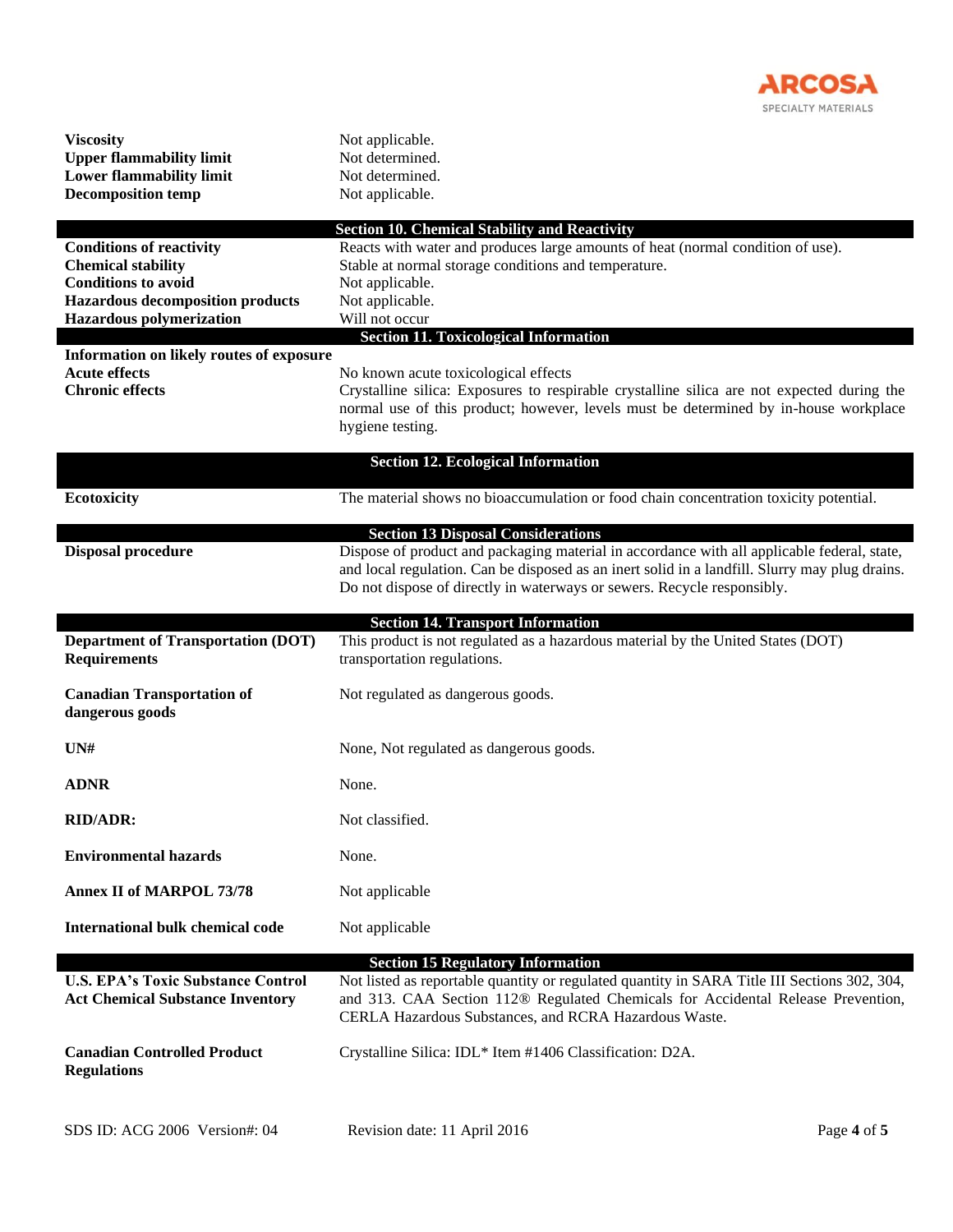

| <b>Viscosity</b><br><b>Upper flammability limit</b><br><b>Lower flammability limit</b><br><b>Decomposition temp</b>                                                      | Not applicable.<br>Not determined.<br>Not determined.<br>Not applicable.                                                                                                                                                                                                                                              |             |
|--------------------------------------------------------------------------------------------------------------------------------------------------------------------------|-----------------------------------------------------------------------------------------------------------------------------------------------------------------------------------------------------------------------------------------------------------------------------------------------------------------------|-------------|
| <b>Conditions of reactivity</b><br><b>Chemical stability</b><br><b>Conditions to avoid</b><br><b>Hazardous decomposition products</b><br><b>Hazardous polymerization</b> | <b>Section 10. Chemical Stability and Reactivity</b><br>Reacts with water and produces large amounts of heat (normal condition of use).<br>Stable at normal storage conditions and temperature.<br>Not applicable.<br>Not applicable.<br>Will not occur                                                               |             |
| Information on likely routes of exposure<br><b>Acute effects</b><br><b>Chronic effects</b>                                                                               | <b>Section 11. Toxicological Information</b><br>No known acute toxicological effects<br>Crystalline silica: Exposures to respirable crystalline silica are not expected during the<br>normal use of this product; however, levels must be determined by in-house workplace<br>hygiene testing.                        |             |
| Ecotoxicity                                                                                                                                                              | <b>Section 12. Ecological Information</b><br>The material shows no bioaccumulation or food chain concentration toxicity potential.                                                                                                                                                                                    |             |
| <b>Disposal procedure</b>                                                                                                                                                | <b>Section 13 Disposal Considerations</b><br>Dispose of product and packaging material in accordance with all applicable federal, state,<br>and local regulation. Can be disposed as an inert solid in a landfill. Slurry may plug drains.<br>Do not dispose of directly in waterways or sewers. Recycle responsibly. |             |
| <b>Department of Transportation (DOT)</b><br><b>Requirements</b>                                                                                                         | <b>Section 14. Transport Information</b><br>This product is not regulated as a hazardous material by the United States (DOT)<br>transportation regulations.                                                                                                                                                           |             |
| <b>Canadian Transportation of</b><br>dangerous goods                                                                                                                     | Not regulated as dangerous goods.                                                                                                                                                                                                                                                                                     |             |
| UN#                                                                                                                                                                      | None, Not regulated as dangerous goods.                                                                                                                                                                                                                                                                               |             |
| <b>ADNR</b>                                                                                                                                                              | None.                                                                                                                                                                                                                                                                                                                 |             |
| <b>RID/ADR:</b>                                                                                                                                                          | Not classified.                                                                                                                                                                                                                                                                                                       |             |
| <b>Environmental hazards</b>                                                                                                                                             | None.                                                                                                                                                                                                                                                                                                                 |             |
| <b>Annex II of MARPOL 73/78</b>                                                                                                                                          | Not applicable                                                                                                                                                                                                                                                                                                        |             |
| <b>International bulk chemical code</b>                                                                                                                                  | Not applicable                                                                                                                                                                                                                                                                                                        |             |
| <b>U.S. EPA's Toxic Substance Control</b><br><b>Act Chemical Substance Inventory</b>                                                                                     | <b>Section 15 Regulatory Information</b><br>Not listed as reportable quantity or regulated quantity in SARA Title III Sections 302, 304,<br>and 313. CAA Section 112® Regulated Chemicals for Accidental Release Prevention,<br>CERLA Hazardous Substances, and RCRA Hazardous Waste.                                 |             |
| <b>Canadian Controlled Product</b><br><b>Regulations</b>                                                                                                                 | Crystalline Silica: IDL* Item #1406 Classification: D2A.                                                                                                                                                                                                                                                              |             |
| SDS ID: ACG 2006 Version#: 04                                                                                                                                            | Revision date: 11 April 2016                                                                                                                                                                                                                                                                                          | Page 4 of 5 |